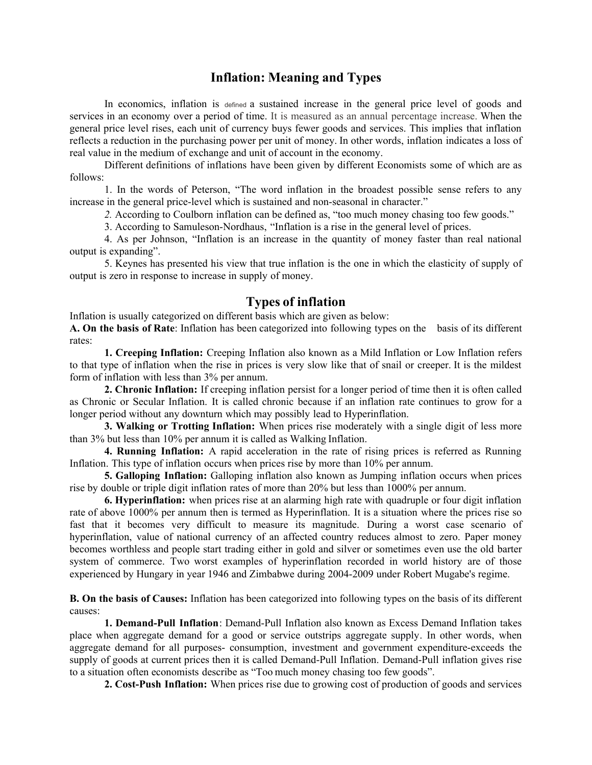## **Inflation: Meaning and Types**

In economics, inflation is defined a sustained increase in the general price level of goods and services in an economy over a period of time. It is measured as an annual percentage increase. When the general price level rises, each unit of currency buys fewer goods and services. This implies that inflation reflects a reduction in the purchasing power per unit of money. In other words, inflation indicates a loss of real value in the medium of exchange and unit of account in the economy.

Different definitions of inflations have been given by different Economists some of which are as follows:

1. In the words of Peterson, "The word inflation in the broadest possible sense refers to any increase in the general price-level which is sustained and non-seasonal in character."

*2.* According to Coulborn inflation can be defined as, "too much money chasing too few goods."

3. According to Samuleson-Nordhaus, "Inflation is a rise in the general level of prices.

4. As per Johnson, "Inflation is an increase in the quantity of money faster than real national output is expanding".

5. Keynes has presented his view that true inflation is the one in which the elasticity of supply of output is zero in response to increase in supply of money.

## **Types of inflation**

Inflation is usually categorized on different basis which are given as below:

**A. On the basis of Rate**: Inflation has been categorized into following types on the basis of its different rates:

**1. Creeping Inflation:** Creeping Inflation also known as a Mild Inflation or Low Inflation refers to that type of inflation when the rise in prices is very slow like that of snail or creeper. It is the mildest form of inflation with less than 3% per annum.

**2. Chronic Inflation:** If creeping inflation persist for a longer period of time then it is often called as Chronic or Secular Inflation. It is called chronic because if an inflation rate continues to grow for a longer period without any downturn which may possibly lead to Hyperinflation.

**3. Walking or Trotting Inflation:** When prices rise moderately with a single digit of less more than 3% but less than 10% per annum it is called as Walking Inflation.

**4. Running Inflation:** A rapid acceleration in the rate of rising prices is referred as Running Inflation. This type of inflation occurs when prices rise by more than 10% per annum.

**5. Galloping Inflation:** Galloping inflation also known as Jumping inflation occurs when prices rise by double or triple digit inflation rates of more than 20% but less than 1000% per annum.

**6. Hyperinflation:** when prices rise at an alarming high rate with quadruple or four digit inflation rate of above 1000% per annum then is termed as Hyperinflation. It is a situation where the prices rise so fast that it becomes very difficult to measure its magnitude. During a worst case scenario of hyperinflation, value of national currency of an affected country reduces almost to zero. Paper money becomes worthless and people start trading either in gold and silver or sometimes even use the old barter system of commerce. Two worst examples of hyperinflation recorded in world history are of those experienced by Hungary in year 1946 and Zimbabwe during 2004-2009 under Robert Mugabe's regime.

**B. On the basis of Causes:** Inflation has been categorized into following types on the basis of its different causes:

**1. Demand-Pull Inflation**: Demand-Pull Inflation also known as Excess Demand Inflation takes place when aggregate demand for a good or service outstrips aggregate supply. In other words, when aggregate demand for all purposes- consumption, investment and government expenditure-exceeds the supply of goods at current prices then it is called Demand-Pull Inflation. Demand-Pull inflation gives rise to a situation often economists describe as "Too much money chasing too few goods".

**2. Cost-Push Inflation:** When prices rise due to growing cost of production of goods and services